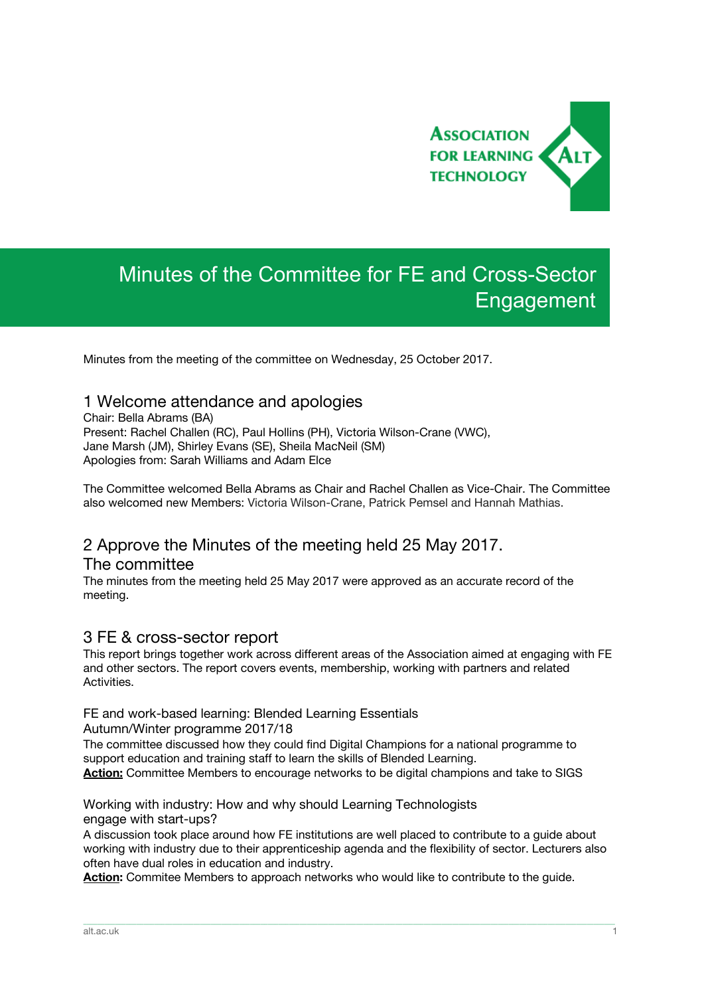

# Minutes of the Committee for FE and Cross-Sector Engagement

Minutes from the meeting of the committee on Wednesday, 25 October 2017.

## 1 Welcome attendance and apologies

Chair: Bella Abrams (BA) Present: Rachel Challen (RC), Paul Hollins (PH), Victoria Wilson-Crane (VWC), Jane Marsh (JM), Shirley Evans (SE), Sheila MacNeil (SM) Apologies from: Sarah Williams and Adam Elce

The Committee welcomed Bella Abrams as Chair and Rachel Challen as Vice-Chair. The Committee also welcomed new Members: Victoria Wilson-Crane, Patrick Pemsel and Hannah Mathias.

# 2 Approve the Minutes of the meeting held 25 May 2017.

#### The committee

The minutes from the meeting held 25 May 2017 were approved as an accurate record of the meeting.

## 3 FE & cross-sector report

This report brings together work across different areas of the Association aimed at engaging with FE and other sectors. The report covers events, membership, working with partners and related Activities.

#### FE and work-based learning: Blended Learning Essentials

Autumn/Winter programme 2017/18

The committee discussed how they could find Digital Champions for a national programme to support education and training staff to learn the skills of Blended Learning. **Action:** Committee Members to encourage networks to be digital champions and take to SIGS

#### Working with industry: How and why should Learning Technologists engage with start-ups?

A discussion took place around how FE institutions are well placed to contribute to a guide about working with industry due to their apprenticeship agenda and the flexibility of sector. Lecturers also often have dual roles in education and industry.

\_\_\_\_\_\_\_\_\_\_\_\_\_\_\_\_\_\_\_\_\_\_\_\_\_\_\_\_\_\_\_\_\_\_\_\_\_\_\_\_\_\_\_\_\_\_\_\_\_\_\_\_\_\_\_\_\_\_\_\_\_\_\_\_\_\_\_\_\_\_\_\_\_\_\_\_\_\_\_\_\_\_\_\_\_\_\_\_\_\_\_\_\_\_\_\_\_\_\_\_\_\_\_\_\_\_\_\_\_\_\_\_\_\_\_\_\_\_\_\_\_\_\_\_\_\_\_\_\_\_\_\_\_\_\_\_\_\_\_\_\_\_\_\_\_\_\_\_\_\_

**Action:** Commitee Members to approach networks who would like to contribute to the guide.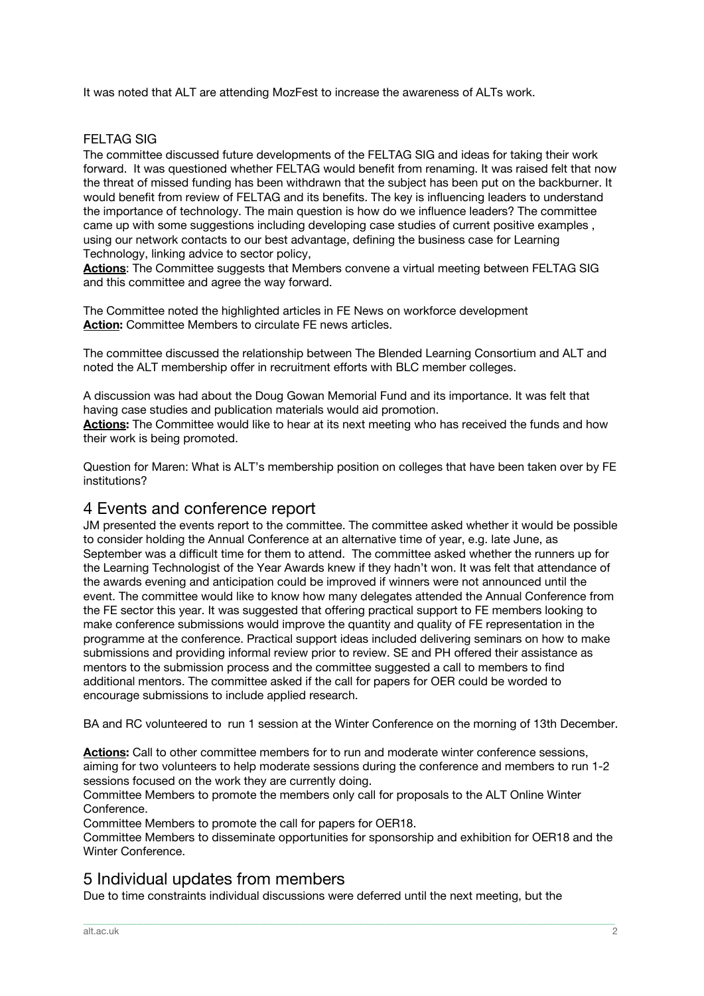It was noted that ALT are attending MozFest to increase the awareness of ALTs work.

### FELTAG SIG

The committee discussed future developments of the FELTAG SIG and ideas for taking their work forward. It was questioned whether FELTAG would benefit from renaming. It was raised felt that now the threat of missed funding has been withdrawn that the subject has been put on the backburner. It would benefit from review of FELTAG and its benefits. The key is influencing leaders to understand the importance of technology. The main question is how do we influence leaders? The committee came up with some suggestions including developing case studies of current positive examples , using our network contacts to our best advantage, defining the business case for Learning Technology, linking advice to sector policy,

**Actions**: The Committee suggests that Members convene a virtual meeting between FELTAG SIG and this committee and agree the way forward.

The Committee noted the highlighted articles in FE News on workforce development **Action:** Committee Members to circulate FE news articles.

The committee discussed the relationship between The Blended Learning Consortium and ALT and noted the ALT membership offer in recruitment efforts with BLC member colleges.

A discussion was had about the Doug Gowan Memorial Fund and its importance. It was felt that having case studies and publication materials would aid promotion. **Actions:** The Committee would like to hear at its next meeting who has received the funds and how

their work is being promoted. Question for Maren: What is ALT's membership position on colleges that have been taken over by FE

institutions?

## 4 Events and conference report

JM presented the events report to the committee. The committee asked whether it would be possible to consider holding the Annual Conference at an alternative time of year, e.g. late June, as September was a difficult time for them to attend. The committee asked whether the runners up for the Learning Technologist of the Year Awards knew if they hadn't won. It was felt that attendance of the awards evening and anticipation could be improved if winners were not announced until the event. The committee would like to know how many delegates attended the Annual Conference from the FE sector this year. It was suggested that offering practical support to FE members looking to make conference submissions would improve the quantity and quality of FE representation in the programme at the conference. Practical support ideas included delivering seminars on how to make submissions and providing informal review prior to review. SE and PH offered their assistance as mentors to the submission process and the committee suggested a call to members to find additional mentors. The committee asked if the call for papers for OER could be worded to encourage submissions to include applied research.

BA and RC volunteered to run 1 session at the Winter Conference on the morning of 13th December.

**Actions:** Call to other committee members for to run and moderate winter conference sessions, aiming for two volunteers to help moderate sessions during the conference and members to run 1-2 sessions focused on the work they are currently doing.

Committee Members to promote the members only call for proposals to the ALT Online Winter Conference.

Committee Members to promote the call for papers for OER18.

Committee Members to disseminate opportunities for sponsorship and exhibition for OER18 and the Winter Conference.

\_\_\_\_\_\_\_\_\_\_\_\_\_\_\_\_\_\_\_\_\_\_\_\_\_\_\_\_\_\_\_\_\_\_\_\_\_\_\_\_\_\_\_\_\_\_\_\_\_\_\_\_\_\_\_\_\_\_\_\_\_\_\_\_\_\_\_\_\_\_\_\_\_\_\_\_\_\_\_\_\_\_\_\_\_\_\_\_\_\_\_\_\_\_\_\_\_\_\_\_\_\_\_\_\_\_\_\_\_\_\_\_\_\_\_\_\_\_\_\_\_\_\_\_\_\_\_\_\_\_\_\_\_\_\_\_\_\_\_\_\_\_\_\_\_\_\_\_\_\_

## 5 Individual updates from members

Due to time constraints individual discussions were deferred until the next meeting, but the